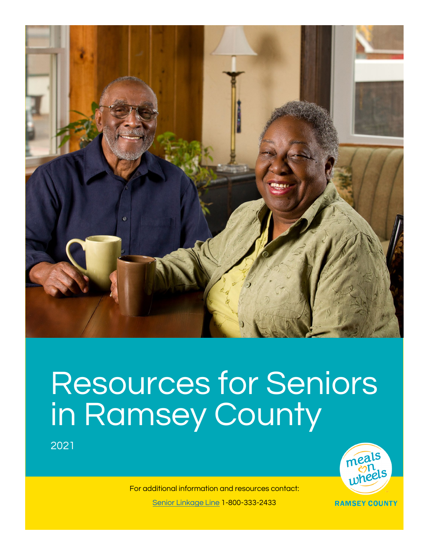

## Resources for Seniors in Ramsey County

2021



For additional information and resources contact: [Senior Linkage Line 1](https://metroaging.org/help-information/senior-linkage-line/)-800-333-2433

**RAMSEY COUNTY**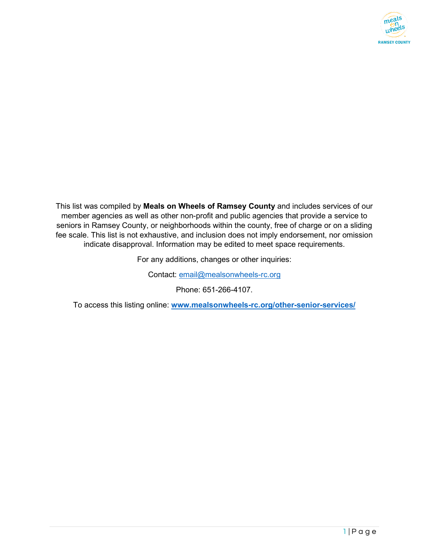

This list was compiled by **Meals on Wheels of Ramsey County** and includes services of our member agencies as well as other non-profit and public agencies that provide a service to seniors in Ramsey County, or neighborhoods within the county, free of charge or on a sliding fee scale. This list is not exhaustive, and inclusion does not imply endorsement, nor omission indicate disapproval. Information may be edited to meet space requirements.

For any additions, changes or other inquiries:

Contact: [email@mealsonwheels-rc.org](mailto:email@mealsonwheels-rc.org)

Phone: 651-266-4107.

To access this listing online: **[www.mealsonwheels-rc.org/other-senior-services/](http://www.mealsonwheels-rc.org/other-senior-services/)**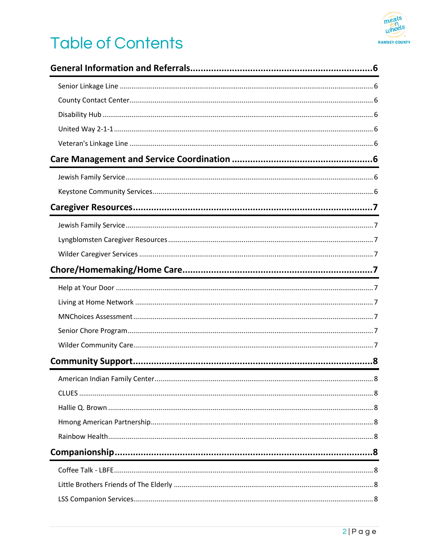

## **Table of Contents**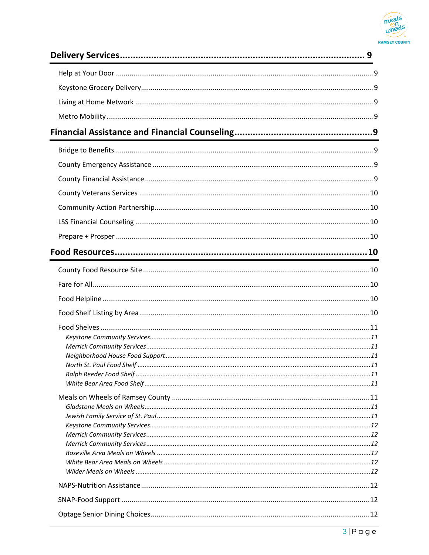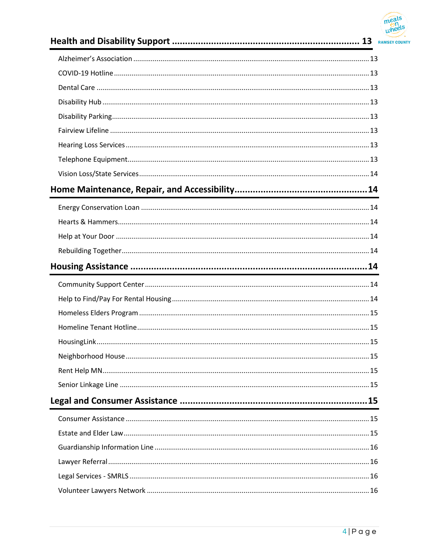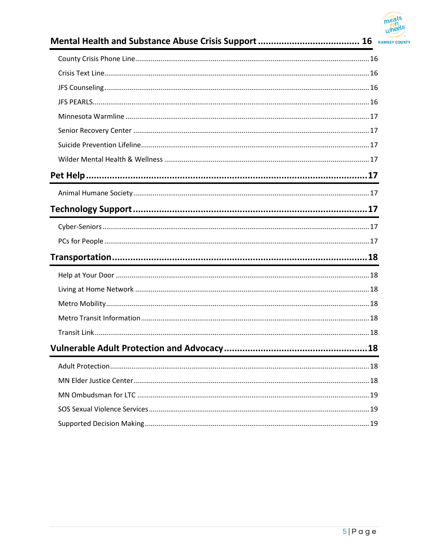

##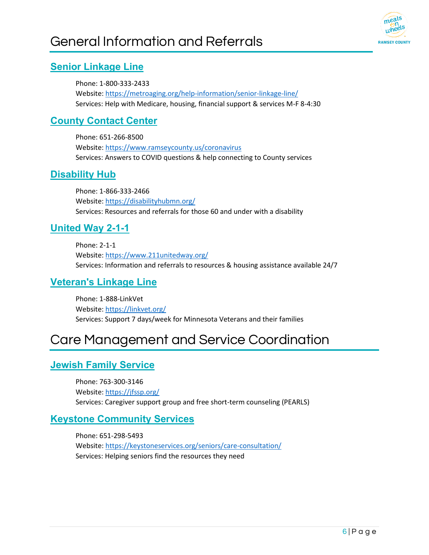## <span id="page-6-0"></span>General Information and Referrals



#### <span id="page-6-1"></span>**[Senior Linkage Line](https://metroaging.org/help-information/senior-linkage-line/)**

Phone: 1-800-333-2433 Website: <https://metroaging.org/help-information/senior-linkage-line/> Services: Help with Medicare, housing, financial support & services M-F 8-4:30

#### <span id="page-6-2"></span>**[County Contact Center](https://www.ramseycounty.us/coronavirus)**

Phone: 651-266-8500 Website: <https://www.ramseycounty.us/coronavirus> Services: Answers to COVID questions & help connecting to County services

#### <span id="page-6-3"></span>**[Disability Hub](https://disabilityhubmn.org/)**

Phone: 1-866-333-2466 Website: <https://disabilityhubmn.org/> Services: Resources and referrals for those 60 and under with a disability

#### <span id="page-6-4"></span>**[United Way 2-1-1](https://www.211unitedway.org/)**

Phone: 2-1-1 Website: <https://www.211unitedway.org/> Services: Information and referrals to resources & housing assistance available 24/7

#### <span id="page-6-5"></span>**[Veteran's Linkage Line](https://linkvet.org/)**

Phone: 1-888-LinkVet Website: <https://linkvet.org/> Services: Support 7 days/week for Minnesota Veterans and their families

## <span id="page-6-6"></span>Care Management and Service Coordination

#### <span id="page-6-7"></span>**[Jewish Family Service](https://jfssp.org/)**

Phone: 763-300-3146 Website: <https://jfssp.org/> Services: Caregiver support group and free short-term counseling (PEARLS)

#### <span id="page-6-8"></span>**[Keystone Community Services](https://keystoneservices.org/seniors/care-consultation/)**

Phone: 651-298-5493 Website[: https://keystoneservices.org/seniors/care-consultation/](https://keystoneservices.org/seniors/care-consultation/)  Services: Helping seniors find the resources they need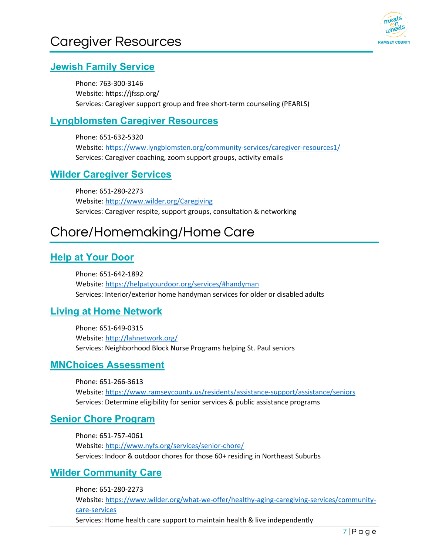

#### <span id="page-7-1"></span><span id="page-7-0"></span>**[Jewish Family Service](https://jfssp.org/)**

Phone: 763-300-3146 Website: https://jfssp.org/ Services: Caregiver support group and free short-term counseling (PEARLS)

#### <span id="page-7-2"></span>**[Lyngblomsten Caregiver Resources](https://www.lyngblomsten.org/community-services/caregiver-resources1/)**

Phone: 651-632-5320 Website: <https://www.lyngblomsten.org/community-services/caregiver-resources1/> Services: Caregiver coaching, zoom support groups, activity emails

#### <span id="page-7-3"></span>**[Wilder Caregiver Services](http://www.wilder.org/Caregiving)**

Phone: 651-280-2273 Website: <http://www.wilder.org/Caregiving> Services: Caregiver respite, support groups, consultation & networking

## <span id="page-7-4"></span>Chore/Homemaking/Home Care

#### <span id="page-7-5"></span>**[Help at Your Door](https://helpatyourdoor.org/services/#handyman)**

Phone: 651-642-1892 Website: <https://helpatyourdoor.org/services/#handyman> Services: Interior/exterior home handyman services for older or disabled adults

#### <span id="page-7-6"></span>**[Living at Home Network](http://lahnetwork.org/)**

Phone: 651-649-0315 Website: <http://lahnetwork.org/> Services: Neighborhood Block Nurse Programs helping St. Paul seniors

#### <span id="page-7-7"></span>**[MNChoices Assessment](https://www.ramseycounty.us/residents/assistance-support/assistance/seniors)**

Phone: 651-266-3613 Website: <https://www.ramseycounty.us/residents/assistance-support/assistance/seniors> Services: Determine eligibility for senior services & public assistance programs

#### <span id="page-7-8"></span>**[Senior Chore Program](http://www.nyfs.org/services/senior-chore/)**

Phone: 651-757-4061 Website: <http://www.nyfs.org/services/senior-chore/> Services: Indoor & outdoor chores for those 60+ residing in Northeast Suburbs

#### <span id="page-7-9"></span>**[Wilder Community Care](https://www.wilder.org/what-we-offer/healthy-aging-caregiving-services/community-care-services)**

Phone: 651-280-2273 Website: [https://www.wilder.org/what-we-offer/healthy-aging-caregiving-services/community](https://www.wilder.org/what-we-offer/healthy-aging-caregiving-services/community-care-services)[care-services](https://www.wilder.org/what-we-offer/healthy-aging-caregiving-services/community-care-services)  Services: Home health care support to maintain health & live independently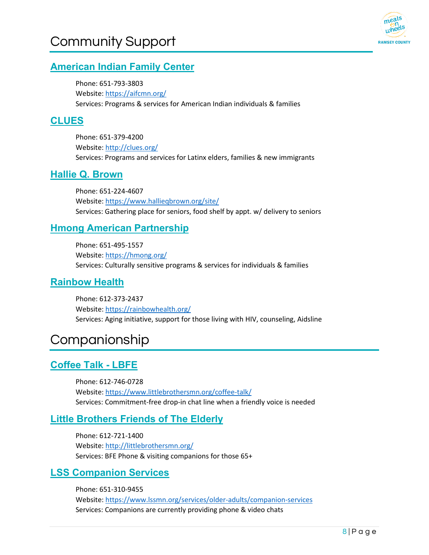## <span id="page-8-0"></span>Community Support



#### <span id="page-8-1"></span>**[American Indian Family Center](https://aifcmn.org/)**

Phone: 651-793-3803 Website: <https://aifcmn.org/> Services: Programs & services for American Indian individuals & families

#### <span id="page-8-2"></span>**[CLUES](http://clues.org/)**

Phone: 651-379-4200 Website: <http://clues.org/> Services: Programs and services for Latinx elders, families & new immigrants

#### <span id="page-8-3"></span>**[Hallie Q. Brown](https://www.hallieqbrown.org/site/)**

Phone: 651-224-4607 Website: <https://www.hallieqbrown.org/site/> Services: Gathering place for seniors, food shelf by appt. w/ delivery to seniors

#### <span id="page-8-4"></span>**[Hmong American Partnership](https://hmong.org/)**

Phone: 651-495-1557 Website: <https://hmong.org/> Services: Culturally sensitive programs & services for individuals & families

#### <span id="page-8-5"></span>**[Rainbow Health](https://rainbowhealth.org/)**

Phone: 612-373-2437 Website: <https://rainbowhealth.org/> Services: Aging initiative, support for those living with HIV, counseling, Aidsline

## <span id="page-8-6"></span>Companionship

#### <span id="page-8-7"></span>**[Coffee Talk - LBFE](https://www.littlebrothersmn.org/coffee-talk/)**

Phone: 612-746-0728 Website: <https://www.littlebrothersmn.org/coffee-talk/> Services: Commitment-free drop-in chat line when a friendly voice is needed

#### <span id="page-8-8"></span>**[Little Brothers Friends of The Elderly](http://littlebrothersmn.org/)**

Phone: 612-721-1400 Website: http://littlebrothersmn.org/ Services: BFE Phone & visiting companions for those 65+

#### <span id="page-8-9"></span>**[LSS Companion Services](https://www.lssmn.org/services/older-adults/companion-services)**

Phone: 651-310-9455 Website: <https://www.lssmn.org/services/older-adults/companion-services> Services: Companions are currently providing phone & video chats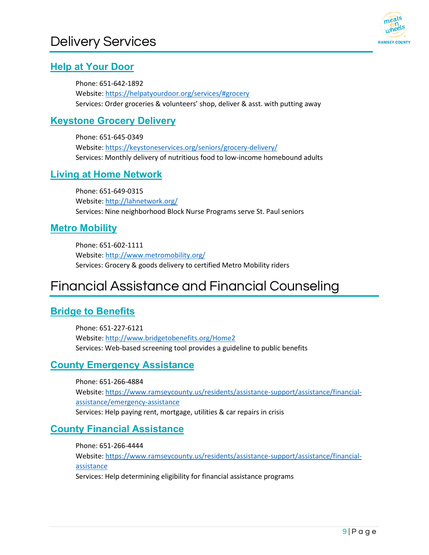

#### <span id="page-9-1"></span><span id="page-9-0"></span>**[Help at Your Door](https://helpatyourdoor.org/services/#grocery)**

Phone: 651-642-1892 Website: <https://helpatyourdoor.org/services/#grocery> Services: Order groceries & volunteers' shop, deliver & asst. with putting away

#### <span id="page-9-2"></span>**[Keystone Grocery Delivery](https://keystoneservices.org/seniors/grocery-delivery/)**

Phone: 651-645-0349 Website: <https://keystoneservices.org/seniors/grocery-delivery/> Services: Monthly delivery of nutritious food to low-income homebound adults

#### <span id="page-9-3"></span>**[Living at Home Network](http://lahnetwork.org/)**

Phone: 651-649-0315 Website: <http://lahnetwork.org/> Services: Nine neighborhood Block Nurse Programs serve St. Paul seniors

#### <span id="page-9-4"></span>**[Metro Mobility](http://www.metromobility.org/)**

Phone: 651-602-1111 Website: <http://www.metromobility.org/> Services: Grocery & goods delivery to certified Metro Mobility riders

## <span id="page-9-5"></span>Financial Assistance and Financial Counseling

#### <span id="page-9-6"></span>**[Bridge to Benefits](http://www.bridgetobenefits.org/Home2)**

Phone: 651-227-6121 Website: <http://www.bridgetobenefits.org/Home2> Services: Web-based screening tool provides a guideline to public benefits

#### <span id="page-9-7"></span>**[County Emergency Assistance](https://www.ramseycounty.us/residents/assistance-support/assistance/financial-assistance/emergency-assistance)**

Phone: 651-266-4884 Website: [https://www.ramseycounty.us/residents/assistance-support/assistance/financial](https://www.ramseycounty.us/residents/assistance-support/assistance/financial-assistance/emergency-assistance)[assistance/emergency-assistance](https://www.ramseycounty.us/residents/assistance-support/assistance/financial-assistance/emergency-assistance)  Services: Help paying rent, mortgage, utilities & car repairs in crisis

#### <span id="page-9-8"></span>**[County Financial Assistance](https://www.ramseycounty.us/residents/assistance-support/assistance/financial-assistance)**

Phone: 651-266-4444 Website: [https://www.ramseycounty.us/residents/assistance-support/assistance/financial](https://www.ramseycounty.us/residents/assistance-support/assistance/financial-assistance)[assistance](https://www.ramseycounty.us/residents/assistance-support/assistance/financial-assistance)  Services: Help determining eligibility for financial assistance programs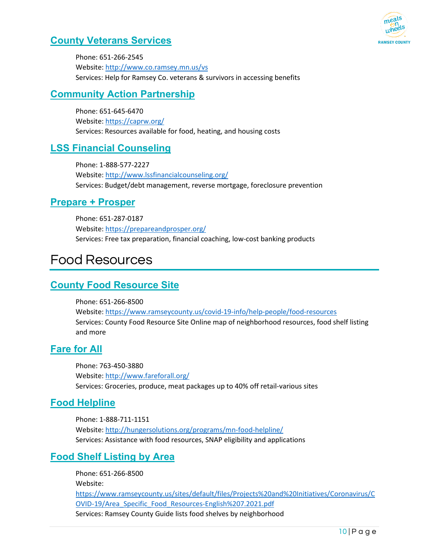

#### <span id="page-10-0"></span>**[County Veterans Services](http://www.co.ramsey.mn.us/vs)**

Phone: 651-266-2545 Website: <http://www.co.ramsey.mn.us/vs> Services: Help for Ramsey Co. veterans & survivors in accessing benefits

#### <span id="page-10-1"></span>**[Community Action Partnership](https://caprw.org/)**

Phone: 651-645-6470 Website: <https://caprw.org/> Services: Resources available for food, heating, and housing costs

#### <span id="page-10-2"></span>**[LSS Financial Counseling](http://www.lssfinancialcounseling.org/)**

Phone: 1-888-577-2227 Website: <http://www.lssfinancialcounseling.org/> Services: Budget/debt management, reverse mortgage, foreclosure prevention

#### <span id="page-10-3"></span>**[Prepare + Prosper](https://prepareandprosper.org/)**

Phone: 651-287-0187 Website: <https://prepareandprosper.org/> Services: Free tax preparation, financial coaching, low-cost banking products

### <span id="page-10-4"></span>Food Resources

#### <span id="page-10-5"></span>**[County Food Resource](https://www.ramseycounty.us/covid-19-info/help-people/food-resources) Site**

Phone: 651-266-8500 Website: <https://www.ramseycounty.us/covid-19-info/help-people/food-resources> Services: County Food Resource Site Online map of neighborhood resources, food shelf listing and more

#### <span id="page-10-6"></span>**[Fare for All](http://www.fareforall.org/)**

Phone: 763-450-3880 Website: <http://www.fareforall.org/> Services: Groceries, produce, meat packages up to 40% off retail-various sites

#### <span id="page-10-7"></span>**[Food Helpline](http://hungersolutions.org/programs/mn-food-helpline/)**

Phone: 1-888-711-1151 Website: <http://hungersolutions.org/programs/mn-food-helpline/> Services: Assistance with food resources, SNAP eligibility and applications

#### <span id="page-10-8"></span>**[Food Shelf Listing by Area](https://www.ramseycounty.us/sites/default/files/Projects%20and%20Initiatives/Coronavirus/COVID-19/Area_Specific_Food_Resources-English%207.2021.pdf)**

Phone: 651-266-8500 Website: [https://www.ramseycounty.us/sites/default/files/Projects%20and%20Initiatives/Coronavirus/C](https://www.ramseycounty.us/sites/default/files/Projects%20and%20Initiatives/Coronavirus/COVID-19/Area_Specific_Food_Resources-English%207.2021.pdf) [OVID-19/Area\\_Specific\\_Food\\_Resources-English%207.2021.pdf](https://www.ramseycounty.us/sites/default/files/Projects%20and%20Initiatives/Coronavirus/COVID-19/Area_Specific_Food_Resources-English%207.2021.pdf)  Services: Ramsey County Guide lists food shelves by neighborhood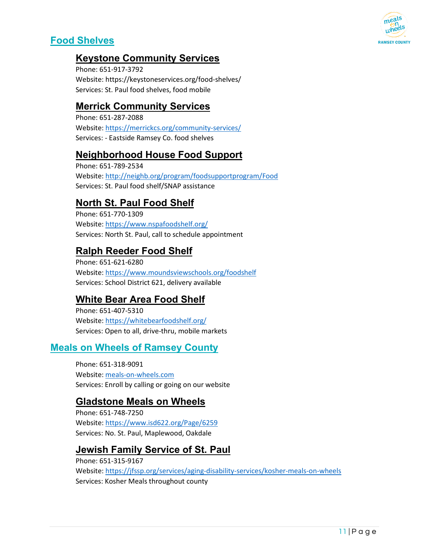

#### <span id="page-11-0"></span>**[Food Shelves](https://www.ramseycounty.us/sites/default/files/Projects%20and%20Initiatives/Coronavirus/COVID-19/Area_Specific_Food_Resources-English%207.2021.pdf)**

#### <span id="page-11-1"></span>**[Keystone Community Services](https://keystoneservices.org/food-shelves/)**

Phone: 651-917-3792 Website: https://keystoneservices.org/food-shelves/ Services: St. Paul food shelves, food mobile

#### <span id="page-11-2"></span>**[Merrick Community Services](https://merrickcs.org/community-services/)**

Phone: 651-287-2088 Website: <https://merrickcs.org/community-services/> Services: - Eastside Ramsey Co. food shelves

#### <span id="page-11-3"></span>**[Neighborhood House Food Support](http://neighb.org/program/foodsupportprogram/Food)**

Phone: 651-789-2534 Website: <http://neighb.org/program/foodsupportprogram/Food> Services: St. Paul food shelf/SNAP assistance

#### <span id="page-11-4"></span>**[North St. Paul Food Shelf](https://www.nspafoodshelf.org/)**

Phone: 651-770-1309 Website: <https://www.nspafoodshelf.org/> Services: North St. Paul, call to schedule appointment

#### <span id="page-11-5"></span>**[Ralph Reeder Food Shelf](https://www.moundsviewschools.org/foodshelf)**

Phone: 651-621-6280 Website: <https://www.moundsviewschools.org/foodshelf> Services: School District 621, delivery available

#### <span id="page-11-6"></span>**[White Bear Area Food Shelf](https://whitebearfoodshelf.org/)**

Phone: 651-407-5310 Website: <https://whitebearfoodshelf.org/> Services: Open to all, drive-thru, mobile markets

#### <span id="page-11-7"></span>**[Meals on Wheels of Ramsey County](https://mealsonwheels-rc.org/)**

Phone: 651-318-9091 Website: [meals-on-wheels.com](http://meals-on-wheels.com/) Services: Enroll by calling or going on our website

#### <span id="page-11-8"></span>**[Gladstone Meals on Wheels](https://www.isd622.org/Page/6259)**

Phone: 651-748-7250 Website: <https://www.isd622.org/Page/6259> Services: No. St. Paul, Maplewood, Oakdale

#### <span id="page-11-9"></span>**[Jewish Family Service of St. Paul](https://jfssp.org/services/aging-disability-services/kosher-meals-on-wheels)**

Phone: 651-315-9167 Website: <https://jfssp.org/services/aging-disability-services/kosher-meals-on-wheels> Services: Kosher Meals throughout county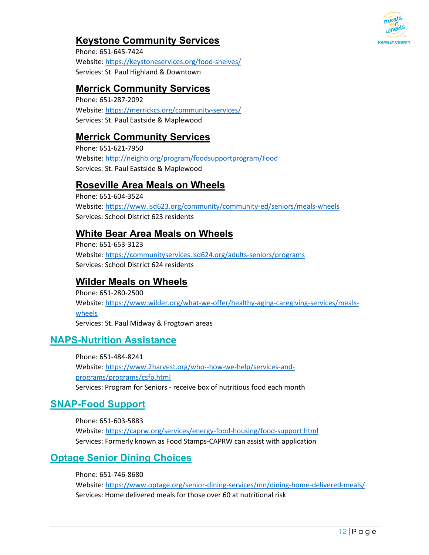

#### <span id="page-12-0"></span>**[Keystone Community Services](https://keystoneservices.org/seniors/meals-on-wheels/)**

Phone: 651-645-7424 Website: <https://keystoneservices.org/food-shelves/> Services: St. Paul Highland & Downtown

#### <span id="page-12-1"></span>**[Merrick Community Services](https://merrickcs.org/community-services/mow/)**

Phone: 651-287-2092 Website: <https://merrickcs.org/community-services/> Services: St. Paul Eastside & Maplewood

#### <span id="page-12-2"></span>**[Merrick Community Services](https://merrickcs.org/community-services/mow/)**

Phone: 651-621-7950 Website: <http://neighb.org/program/foodsupportprogram/Food> Services: St. Paul Eastside & Maplewood

#### <span id="page-12-3"></span>**[Roseville Area Meals on Wheels](https://www.isd623.org/community/community-ed/seniors/meals-wheels)**

Phone: 651-604-3524 Website: <https://www.isd623.org/community/community-ed/seniors/meals-wheels> Services: School District 623 residents

#### <span id="page-12-4"></span>**[White Bear Area Meals on Wheels](https://communityservices.isd624.org/adults-seniors/programs)**

Phone: 651-653-3123 Website: <https://communityservices.isd624.org/adults-seniors/programs> Services: School District 624 residents

#### <span id="page-12-5"></span>**[Wilder Meals on Wheels](https://www.wilder.org/what-we-offer/healthy-aging-caregiving-services/meals-wheels)**

Phone: 651-280-2500 Website: [https://www.wilder.org/what-we-offer/healthy-aging-caregiving-services/meals](https://www.wilder.org/what-we-offer/healthy-aging-caregiving-services/meals-wheels)[wheels](https://www.wilder.org/what-we-offer/healthy-aging-caregiving-services/meals-wheels)  Services: St. Paul Midway & Frogtown areas

#### <span id="page-12-6"></span>**[NAPS-Nutrition Assistance](https://www.2harvest.org/who--how-we-help/services-and-programs/programs/csfp.html)**

Phone: 651-484-8241 Website: [https://www.2harvest.org/who--how-we-help/services-and](https://www.2harvest.org/who--how-we-help/services-and-programs/programs/csfp.html)[programs/programs/csfp.html](https://www.2harvest.org/who--how-we-help/services-and-programs/programs/csfp.html)  Services: Program for Seniors - receive box of nutritious food each month

#### <span id="page-12-7"></span>**[SNAP-Food Support](https://caprw.org/services/energy-food-housing/food-support.html)**

Phone: 651-603-5883 Website: <https://caprw.org/services/energy-food-housing/food-support.html> Services: Formerly known as Food Stamps-CAPRW can assist with application

#### <span id="page-12-8"></span>**[Optage Senior Dining Choices](https://www.optage.org/senior-dining-services/mn/dining-home-delivered-meals/)**

Phone: 651-746-8680 Website: <https://www.optage.org/senior-dining-services/mn/dining-home-delivered-meals/> Services: Home delivered meals for those over 60 at nutritional risk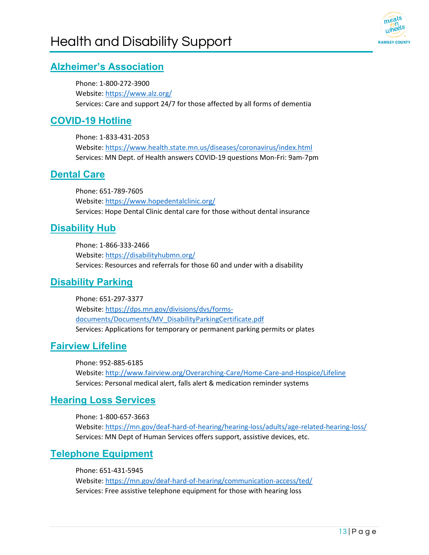

#### <span id="page-13-1"></span><span id="page-13-0"></span>**[Alzheimer's Association](https://www.alz.org/)**

Phone: 1-800-272-3900 Website: <https://www.alz.org/> Services: Care and support 24/7 for those affected by all forms of dementia

#### <span id="page-13-2"></span>**[COVID-19 Hotline](https://www.health.state.mn.us/diseases/coronavirus/index.html)**

Phone: 1-833-431-2053 Website: <https://www.health.state.mn.us/diseases/coronavirus/index.html> Services: MN Dept. of Health answers COVID-19 questions Mon-Fri: 9am-7pm

#### <span id="page-13-3"></span>**[Dental Care](https://www.hopedentalclinic.org/)**

Phone: 651-789-7605 Website: <https://www.hopedentalclinic.org/> Services: Hope Dental Clinic dental care for those without dental insurance

#### <span id="page-13-4"></span>**[Disability Hub](https://disabilityhubmn.org/)**

Phone: 1-866-333-2466 Website: <https://disabilityhubmn.org/> Services: Resources and referrals for those 60 and under with a disability

#### <span id="page-13-5"></span>**[Disability Parking](https://dps.mn.gov/divisions/dvs/forms-documents/Documents/MV_DisabilityParkingCertificate.pdf)**

Phone: 651-297-3377 Website: [https://dps.mn.gov/divisions/dvs/forms](https://dps.mn.gov/divisions/dvs/forms-documents/Documents/MV_DisabilityParkingCertificate.pdf)[documents/Documents/MV\\_DisabilityParkingCertificate.pdf](https://dps.mn.gov/divisions/dvs/forms-documents/Documents/MV_DisabilityParkingCertificate.pdf)  Services: Applications for temporary or permanent parking permits or plates

#### <span id="page-13-6"></span>**[Fairview Lifeline](http://www.fairview.org/Overarching-Care/Home-Care-and-Hospice/Lifeline)**

Phone: 952-885-6185 Website: <http://www.fairview.org/Overarching-Care/Home-Care-and-Hospice/Lifeline> Services: Personal medical alert, falls alert & medication reminder systems

#### <span id="page-13-7"></span>**[Hearing Loss Services](https://mn.gov/deaf-hard-of-hearing/hearing-loss/adults/age-related-hearing-loss/)**

Phone: 1-800-657-3663 Website: <https://mn.gov/deaf-hard-of-hearing/hearing-loss/adults/age-related-hearing-loss/> Services: MN Dept of Human Services offers support, assistive devices, etc.

#### <span id="page-13-8"></span>**[Telephone Equipment](https://mn.gov/deaf-hard-of-hearing/communication-access/ted/)**

Phone: 651-431-5945 Website: <https://mn.gov/deaf-hard-of-hearing/communication-access/ted/> Services: Free assistive telephone equipment for those with hearing loss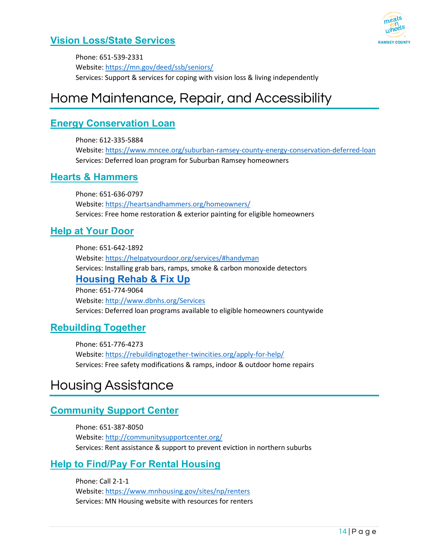

#### <span id="page-14-0"></span>**[Vision Loss/State Services](https://mn.gov/deed/ssb/seniors/)**

Phone: 651-539-2331 Website: <https://mn.gov/deed/ssb/seniors/> Services: Support & services for coping with vision loss & living independently

## <span id="page-14-1"></span>Home Maintenance, Repair, and Accessibility

#### <span id="page-14-2"></span>**[Energy Conservation Loan](https://www.mncee.org/suburban-ramsey-county-energy-conservation-deferred-loan)**

Phone: 612-335-5884 Website: <https://www.mncee.org/suburban-ramsey-county-energy-conservation-deferred-loan> Services: Deferred loan program for Suburban Ramsey homeowners

#### <span id="page-14-3"></span>**[Hearts & Hammers](https://heartsandhammers.org/homeowners/)**

Phone: 651-636-0797 Website: <https://heartsandhammers.org/homeowners/> Services: Free home restoration & exterior painting for eligible homeowners

#### <span id="page-14-4"></span>**[Help at Your Door](https://helpatyourdoor.org/services/#handyman)**

Phone: 651-642-1892 Website: <https://helpatyourdoor.org/services/#handyman> Services: Installing grab bars, ramps, smoke & carbon monoxide detectors **[Housing Rehab & Fix Up](http://www.dbnhs.org/Services)** Phone: 651-774-9064 Website: <http://www.dbnhs.org/Services>

Services: Deferred loan programs available to eligible homeowners countywide

#### <span id="page-14-5"></span>**[Rebuilding Together](https://rebuildingtogether-twincities.org/apply-for-help/)**

Phone: 651-776-4273 Website: <https://rebuildingtogether-twincities.org/apply-for-help/> Services: Free safety modifications & ramps, indoor & outdoor home repairs

## <span id="page-14-6"></span>Housing Assistance

#### <span id="page-14-7"></span>**[Community Support Center](http://communitysupportcenter.org/)**

Phone: 651-387-8050 Website: <http://communitysupportcenter.org/> Services: Rent assistance & support to prevent eviction in northern suburbs

#### <span id="page-14-8"></span>**[Help to Find/Pay For Rental Housing](https://www.mnhousing.gov/sites/np/renters)**

Phone: Call 2-1-1 Website: <https://www.mnhousing.gov/sites/np/renters> Services: MN Housing website with resources for renters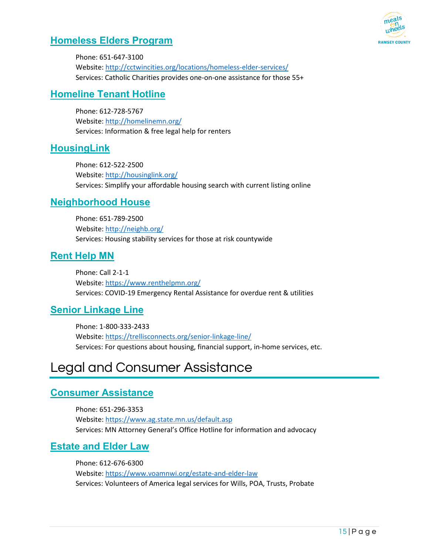

#### <span id="page-15-0"></span>**[Homeless Elders Program](http://cctwincities.org/locations/homeless-elder-services/)**

Phone: 651-647-3100 Website: <http://cctwincities.org/locations/homeless-elder-services/> Services: Catholic Charities provides one-on-one assistance for those 55+

#### <span id="page-15-1"></span>**[Homeline Tenant Hotline](http://homelinemn.org/)**

Phone: 612-728-5767 Website: <http://homelinemn.org/> Services: Information & free legal help for renters

#### <span id="page-15-2"></span>**[HousingLink](http://housinglink.org/)**

Phone: 612-522-2500 Website: <http://housinglink.org/> Services: Simplify your affordable housing search with current listing online

#### <span id="page-15-3"></span>**[Neighborhood House](http://neighb.org/)**

Phone: 651-789-2500 Website: <http://neighb.org/> Services: Housing stability services for those at risk countywide

#### <span id="page-15-4"></span>**[Rent Help MN](https://www.renthelpmn.org/)**

Phone: Call 2-1-1 Website: <https://www.renthelpmn.org/> Services: COVID-19 Emergency Rental Assistance for overdue rent & utilities

#### <span id="page-15-5"></span>**[Senior Linkage Line](https://trellisconnects.org/senior-linkage-line/)**

Phone: 1-800-333-2433 Website: <https://trellisconnects.org/senior-linkage-line/> Services: For questions about housing, financial support, in-home services, etc.

## <span id="page-15-6"></span>Legal and Consumer Assistance

#### <span id="page-15-7"></span>**[Consumer Assistance](https://www.ag.state.mn.us/default.asp)**

Phone: 651-296-3353 Website: <https://www.ag.state.mn.us/default.asp> Services: MN Attorney General's Office Hotline for information and advocacy

#### <span id="page-15-8"></span>**[Estate and Elder Law](https://www.voamnwi.org/estate-and-elder-law)**

Phone: 612-676-6300 Website: <https://www.voamnwi.org/estate-and-elder-law> Services: Volunteers of America legal services for Wills, POA, Trusts, Probate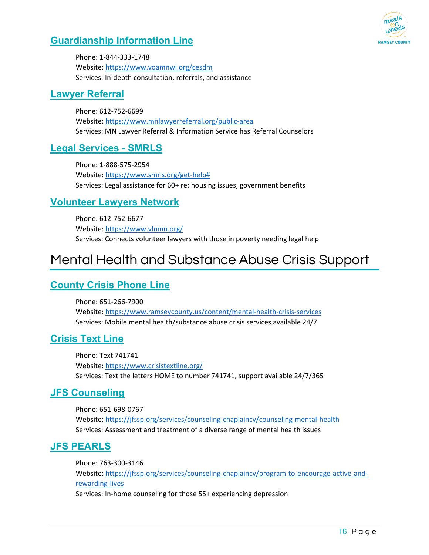

#### <span id="page-16-0"></span>**[Guardianship Information Line](https://www.voamnwi.org/cesdm)**

Phone: 1-844-333-1748 Website: <https://www.voamnwi.org/cesdm> Services: In-depth consultation, referrals, and assistance

#### <span id="page-16-1"></span>**[Lawyer Referral](https://www.mnlawyerreferral.org/public-area)**

Phone: 612-752-6699 Website: <https://www.mnlawyerreferral.org/public-area> Services: MN Lawyer Referral & Information Service has Referral Counselors

#### <span id="page-16-2"></span>**[Legal Services - SMRLS](https://www.smrls.org/get-help)**

Phone: 1-888-575-2954 Website: [https://www.smrls.org/get-help#](https://www.smrls.org/get-help)  Services: Legal assistance for 60+ re: housing issues, government benefits

#### <span id="page-16-3"></span>**[Volunteer Lawyers Network](https://www.vlnmn.org/)**

Phone: 612-752-6677 Website: <https://www.vlnmn.org/> Services: Connects volunteer lawyers with those in poverty needing legal help

## <span id="page-16-4"></span>Mental Health and Substance Abuse Crisis Support

#### <span id="page-16-5"></span>**[County Crisis Phone Line](https://www.ramseycounty.us/content/mental-health-crisis-services)**

Phone: 651-266-7900 Website: <https://www.ramseycounty.us/content/mental-health-crisis-services> Services: Mobile mental health/substance abuse crisis services available 24/7

#### <span id="page-16-6"></span>**[Crisis Text Line](https://www.crisistextline.org/)**

Phone: Text 741741 Website: <https://www.crisistextline.org/> Services: Text the letters HOME to number 741741, support available 24/7/365

#### <span id="page-16-7"></span>**[JFS Counseling](https://jfssp.org/services/counseling-chaplaincy/counseling-mental-health)**

Phone: 651-698-0767 Website: <https://jfssp.org/services/counseling-chaplaincy/counseling-mental-health> Services: Assessment and treatment of a diverse range of mental health issues

#### <span id="page-16-8"></span>**[JFS PEARLS](https://jfssp.org/services/counseling-chaplaincy/program-to-encourage-active-and-rewarding-lives)**

Phone: 763-300-3146 Website: [https://jfssp.org/services/counseling-chaplaincy/program-to-encourage-active-and](https://jfssp.org/services/counseling-chaplaincy/program-to-encourage-active-and-rewarding-lives)[rewarding-lives](https://jfssp.org/services/counseling-chaplaincy/program-to-encourage-active-and-rewarding-lives)  Services: In-home counseling for those 55+ experiencing depression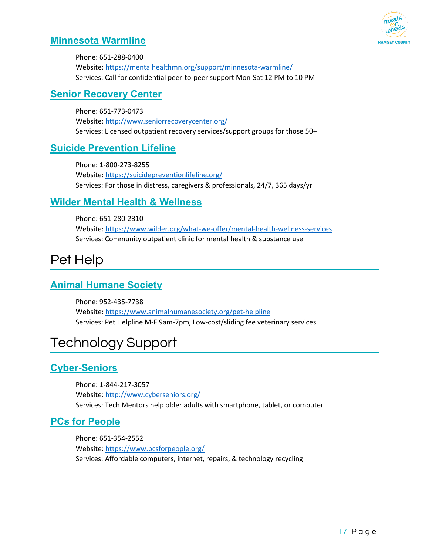# **RAMSEY COUNT**

#### <span id="page-17-0"></span>**[Minnesota Warmline](https://mentalhealthmn.org/support/minnesota-warmline/)**

Phone: 651-288-0400 Website: <https://mentalhealthmn.org/support/minnesota-warmline/> Services: Call for confidential peer-to-peer support Mon-Sat 12 PM to 10 PM

#### <span id="page-17-1"></span>**[Senior Recovery Center](http://www.seniorrecoverycenter.org/)**

Phone: 651-773-0473 Website: <http://www.seniorrecoverycenter.org/> Services: Licensed outpatient recovery services/support groups for those 50+

#### <span id="page-17-2"></span>**[Suicide Prevention Lifeline](https://suicidepreventionlifeline.org/)**

Phone: 1-800-273-8255 Website: <https://suicidepreventionlifeline.org/> Services: For those in distress, caregivers & professionals, 24/7, 365 days/yr

#### <span id="page-17-3"></span>**[Wilder Mental Health & Wellness](https://www.wilder.org/what-we-offer/mental-health-wellness-services)**

Phone: 651-280-2310 Website: <https://www.wilder.org/what-we-offer/mental-health-wellness-services> Services: Community outpatient clinic for mental health & substance use

## <span id="page-17-4"></span>Pet Help

#### <span id="page-17-5"></span>**[Animal Humane Society](https://www.animalhumanesociety.org/pet-helpline)**

Phone: 952-435-7738 Website: <https://www.animalhumanesociety.org/pet-helpline> Services: Pet Helpline M-F 9am-7pm, Low-cost/sliding fee veterinary services

## <span id="page-17-6"></span>Technology Support

#### <span id="page-17-7"></span>**[Cyber-Seniors](http://www.cyberseniors.org/)**

Phone: 1-844-217-3057 Website: <http://www.cyberseniors.org/> Services: Tech Mentors help older adults with smartphone, tablet, or computer

#### <span id="page-17-8"></span>**PCs for People**

Phone: 651-354-2552 Website: <https://www.pcsforpeople.org/> Services: Affordable computers, internet, repairs, & technology recycling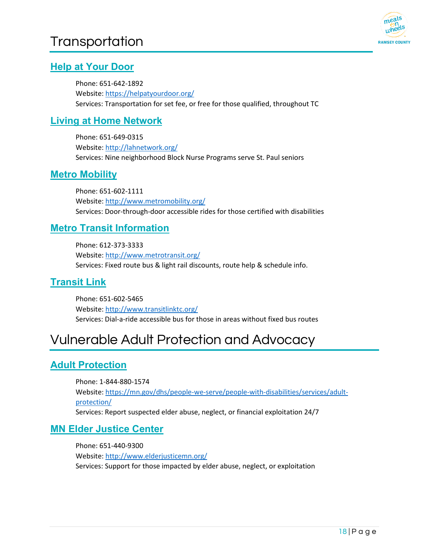## <span id="page-18-0"></span>**Transportation**



#### <span id="page-18-1"></span>**[Help at Your Door](https://helpatyourdoor.org/)**

Phone: 651-642-1892 Website: <https://helpatyourdoor.org/> Services: Transportation for set fee, or free for those qualified, throughout TC

#### <span id="page-18-2"></span>**[Living at Home Network](http://lahnetwork.org/)**

Phone: 651-649-0315 Website: <http://lahnetwork.org/> Services: Nine neighborhood Block Nurse Programs serve St. Paul seniors

#### <span id="page-18-3"></span>**[Metro Mobility](http://www.metromobility.org/)**

Phone: 651-602-1111 Website: <http://www.metromobility.org/> Services: Door-through-door accessible rides for those certified with disabilities

#### <span id="page-18-4"></span>**[Metro Transit Information](http://www.metrotransit.org/)**

Phone: 612-373-3333 Website: <http://www.metrotransit.org/> Services: Fixed route bus & light rail discounts, route help & schedule info.

#### <span id="page-18-5"></span>**[Transit Link](http://www.transitlinktc.org/)**

Phone: 651-602-5465 Website: <http://www.transitlinktc.org/> Services: Dial-a-ride accessible bus for those in areas without fixed bus routes

## <span id="page-18-6"></span>Vulnerable Adult Protection and Advocacy

#### <span id="page-18-7"></span>**[Adult Protection](https://mn.gov/dhs/people-we-serve/people-with-disabilities/services/adult-protection/)**

Phone: 1-844-880-1574 Website: [https://mn.gov/dhs/people-we-serve/people-with-disabilities/services/adult](https://mn.gov/dhs/people-we-serve/people-with-disabilities/services/adult-protection/)[protection/](https://mn.gov/dhs/people-we-serve/people-with-disabilities/services/adult-protection/)  Services: Report suspected elder abuse, neglect, or financial exploitation 24/7

#### <span id="page-18-8"></span>**[MN Elder Justice Center](http://www.elderjusticemn.org/)**

Phone: 651-440-9300 Website: <http://www.elderjusticemn.org/> Services: Support for those impacted by elder abuse, neglect, or exploitation